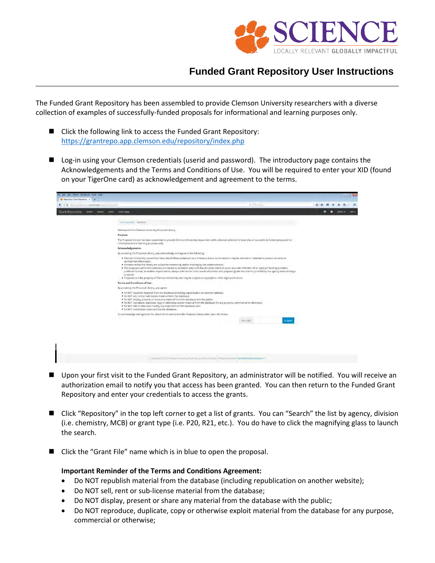

## **Funded Grant Repository User Instructions**

The Funded Grant Repository has been assembled to provide Clemson University researchers with a diverse collection of examples of successfully-funded proposals for informational and learning purposes only.

- Click the following link to access the Funded Grant Repository: <https://grantrepo.app.clemson.edu/repository/index.php>
- **Log-in using your Clemson credentials (userid and password). The introductory page contains the** Acknowledgements and the Terms and Conditions of Use. You will be required to enter your XID (found on your TigerOne card) as acknowledgement and agreement to the terms.

| ← \ () a Mtpd/annormappalemian.edu/resonary/introphy. | $2$ $6$ $3$                                                                                                                                                                                                                                                                                                                                                                                                                                                                                                                                                                                                                                                                                                                                   |        | 立自        | $\circ$  |         | $\equiv$ |
|-------------------------------------------------------|-----------------------------------------------------------------------------------------------------------------------------------------------------------------------------------------------------------------------------------------------------------------------------------------------------------------------------------------------------------------------------------------------------------------------------------------------------------------------------------------------------------------------------------------------------------------------------------------------------------------------------------------------------------------------------------------------------------------------------------------------|--------|-----------|----------|---------|----------|
| Grant Repository<br>Grants History Users Grant Types  |                                                                                                                                                                                                                                                                                                                                                                                                                                                                                                                                                                                                                                                                                                                                               |        | $\bullet$ | $\Omega$ | Admin - | $ma +$   |
|                                                       | particularly research                                                                                                                                                                                                                                                                                                                                                                                                                                                                                                                                                                                                                                                                                                                         |        |           |          |         |          |
|                                                       | Welcome to the Clemson University Proposal Library.                                                                                                                                                                                                                                                                                                                                                                                                                                                                                                                                                                                                                                                                                           |        |           |          |         |          |
|                                                       | Purpose:                                                                                                                                                                                                                                                                                                                                                                                                                                                                                                                                                                                                                                                                                                                                      |        |           |          |         |          |
|                                                       | The Proposal Library has been assembled to provide Clemson University researchers with a diverse collection of examples of successfully-funded proposals for<br>informational and learning purposes only.                                                                                                                                                                                                                                                                                                                                                                                                                                                                                                                                     |        |           |          |         |          |
|                                                       | <b>Acknowledgements:</b>                                                                                                                                                                                                                                                                                                                                                                                                                                                                                                                                                                                                                                                                                                                      |        |           |          |         |          |
|                                                       | By accessing the Proposal Library, you acknowledge and agree to the following:                                                                                                                                                                                                                                                                                                                                                                                                                                                                                                                                                                                                                                                                |        |           |          |         |          |
|                                                       | . Clemson University researchers have shared these proposals on a voluntary basis; some sections may be omitted or redacted to protect sensitive or<br>confidential information.<br>. Activities within the library are subject to monitoring and/or tracking by site administrators.<br>. The proposals within this database are meant as examples only and should not be relied on as an accurate reflection of an agency's funding priorities,<br>preferred format, or written requirements; always refer to the most recent solicitation and proposal guide documents provided by the agency when writing a<br>proposal<br>. Proposals are the property of Clemson University and may be subject to copyright or other legal protections. |        |           |          |         |          |
|                                                       | <b>Terms and Conditions of Use:</b>                                                                                                                                                                                                                                                                                                                                                                                                                                                                                                                                                                                                                                                                                                           |        |           |          |         |          |
|                                                       | By accessing the Proposal Library, you agree:                                                                                                                                                                                                                                                                                                                                                                                                                                                                                                                                                                                                                                                                                                 |        |           |          |         |          |
|                                                       | . To NOT republish material from the database (including republication on another website);<br>. To NOT sell, rent or sub-license material from the database:<br>. To NOT display, present, or share any material from the database with the public,<br>. To NOT reproduce, duplicate, copy or otherwise exploit material from the database for any purpose, commercial or otherwise;<br>. To NOT edit or otherwise modify any material from the database; and<br>. To NOT redistribute material from the database.                                                                                                                                                                                                                           |        |           |          |         |          |
|                                                       | To acknowledge and agree to the above terms and access the Proposal Library enter your XID below.                                                                                                                                                                                                                                                                                                                                                                                                                                                                                                                                                                                                                                             |        |           |          |         |          |
|                                                       | Your: XID                                                                                                                                                                                                                                                                                                                                                                                                                                                                                                                                                                                                                                                                                                                                     | Submit |           |          |         |          |
|                                                       |                                                                                                                                                                                                                                                                                                                                                                                                                                                                                                                                                                                                                                                                                                                                               |        |           |          |         |          |
|                                                       |                                                                                                                                                                                                                                                                                                                                                                                                                                                                                                                                                                                                                                                                                                                                               |        |           |          |         |          |
|                                                       |                                                                                                                                                                                                                                                                                                                                                                                                                                                                                                                                                                                                                                                                                                                                               |        |           |          |         |          |
|                                                       |                                                                                                                                                                                                                                                                                                                                                                                                                                                                                                                                                                                                                                                                                                                                               |        |           |          |         |          |
|                                                       | PROJA F 201X EMPROVED RISHERE A CHINESE SAULT THE CHILICITY AND DURING MORE ORDERED ASSISTANCE.                                                                                                                                                                                                                                                                                                                                                                                                                                                                                                                                                                                                                                               |        |           |          |         |          |

- Upon your first visit to the Funded Grant Repository, an administrator will be notified. You will receive an authorization email to notify you that access has been granted. You can then return to the Funded Grant Repository and enter your credentials to access the grants.
- Click "Repository" in the top left corner to get a list of grants. You can "Search" the list by agency, division (i.e. chemistry, MCB) or grant type (i.e. P20, R21, etc.). You do have to click the magnifying glass to launch the search.
- Click the "Grant File" name which is in blue to open the proposal.

## **Important Reminder of the Terms and Conditions Agreement:**

- Do NOT republish material from the database (including republication on another website);
- Do NOT sell, rent or sub-license material from the database;
- Do NOT display, present or share any material from the database with the public;
- Do NOT reproduce, duplicate, copy or otherwise exploit material from the database for any purpose, commercial or otherwise;